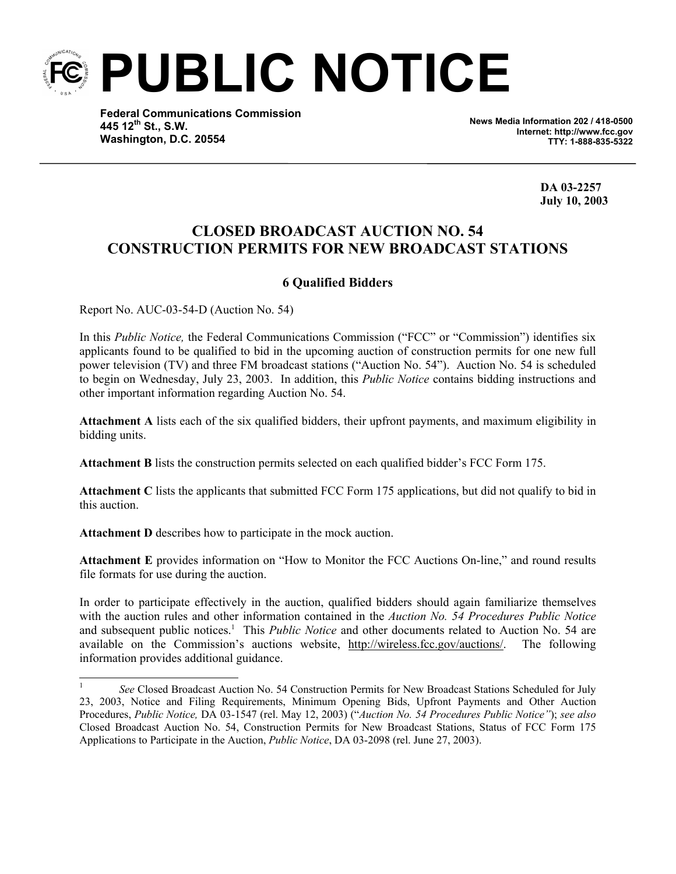

**Federal Communications Commission 445 12th St., S.W. Washington, D.C. 20554**

**News Media Information 202 / 418-0500 Internet: http://www.fcc.gov TTY: 1-888-835-5322**

 **DA 03-2257 July 10, 2003**

## **CLOSED BROADCAST AUCTION NO. 54 CONSTRUCTION PERMITS FOR NEW BROADCAST STATIONS**

## **6 Qualified Bidders**

Report No. AUC-03-54-D (Auction No. 54)

 $\overline{a}$ 

In this *Public Notice,* the Federal Communications Commission ("FCC" or "Commission") identifies six applicants found to be qualified to bid in the upcoming auction of construction permits for one new full power television (TV) and three FM broadcast stations ("Auction No. 54"). Auction No. 54 is scheduled to begin on Wednesday, July 23, 2003. In addition, this *Public Notice* contains bidding instructions and other important information regarding Auction No. 54.

**Attachment A** lists each of the six qualified bidders, their upfront payments, and maximum eligibility in bidding units.

**Attachment B** lists the construction permits selected on each qualified bidder's FCC Form 175.

**Attachment C** lists the applicants that submitted FCC Form 175 applications, but did not qualify to bid in this auction.

**Attachment D** describes how to participate in the mock auction.

**Attachment E** provides information on "How to Monitor the FCC Auctions On-line," and round results file formats for use during the auction.

In order to participate effectively in the auction, qualified bidders should again familiarize themselves with the auction rules and other information contained in the *Auction No. 54 Procedures Public Notice* and subsequent public notices.<sup>1</sup> This *Public Notice* and other documents related to Auction No. 54 are available on the Commission's auctions website, http://wireless.fcc.gov/auctions/. The following information provides additional guidance.

<sup>1</sup> *See* Closed Broadcast Auction No. 54 Construction Permits for New Broadcast Stations Scheduled for July 23, 2003, Notice and Filing Requirements, Minimum Opening Bids, Upfront Payments and Other Auction Procedures, *Public Notice,* DA 03-1547 (rel. May 12, 2003) ("*Auction No. 54 Procedures Public Notice"*); *see also* Closed Broadcast Auction No. 54, Construction Permits for New Broadcast Stations, Status of FCC Form 175 Applications to Participate in the Auction, *Public Notice*, DA 03-2098 (rel. June 27, 2003).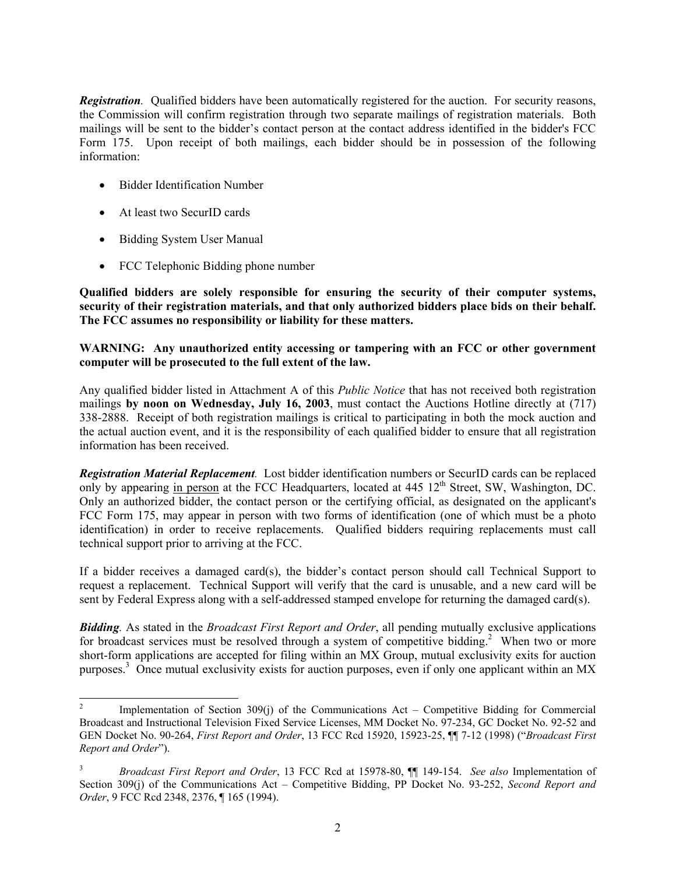*Registration.* Oualified bidders have been automatically registered for the auction. For security reasons, the Commission will confirm registration through two separate mailings of registration materials. Both mailings will be sent to the bidder's contact person at the contact address identified in the bidder's FCC Form 175. Upon receipt of both mailings, each bidder should be in possession of the following information:

- Bidder Identification Number
- At least two SecurID cards
- Bidding System User Manual
- FCC Telephonic Bidding phone number

**Qualified bidders are solely responsible for ensuring the security of their computer systems, security of their registration materials, and that only authorized bidders place bids on their behalf. The FCC assumes no responsibility or liability for these matters.** 

## **WARNING: Any unauthorized entity accessing or tampering with an FCC or other government computer will be prosecuted to the full extent of the law.**

Any qualified bidder listed in Attachment A of this *Public Notice* that has not received both registration mailings **by noon on Wednesday, July 16, 2003**, must contact the Auctions Hotline directly at (717) 338-2888. Receipt of both registration mailings is critical to participating in both the mock auction and the actual auction event, and it is the responsibility of each qualified bidder to ensure that all registration information has been received.

*Registration Material Replacement.* Lost bidder identification numbers or SecurID cards can be replaced only by appearing in person at the FCC Headquarters, located at 445 12<sup>th</sup> Street, SW, Washington, DC. Only an authorized bidder, the contact person or the certifying official, as designated on the applicant's FCC Form 175, may appear in person with two forms of identification (one of which must be a photo identification) in order to receive replacements. Qualified bidders requiring replacements must call technical support prior to arriving at the FCC.

If a bidder receives a damaged card(s), the bidder's contact person should call Technical Support to request a replacement. Technical Support will verify that the card is unusable, and a new card will be sent by Federal Express along with a self-addressed stamped envelope for returning the damaged card(s).

*Bidding.* As stated in the *Broadcast First Report and Order*, all pending mutually exclusive applications for broadcast services must be resolved through a system of competitive bidding.<sup>2</sup> When two or more short-form applications are accepted for filing within an MX Group, mutual exclusivity exits for auction purposes.<sup>3</sup> Once mutual exclusivity exists for auction purposes, even if only one applicant within an MX

<sup>&</sup>lt;sup>2</sup> Implementation of Section 309(j) of the Communications Act – Competitive Bidding for Commercial Broadcast and Instructional Television Fixed Service Licenses, MM Docket No. 97-234, GC Docket No. 92-52 and GEN Docket No. 90-264, *First Report and Order*, 13 FCC Rcd 15920, 15923-25, ¶¶ 7-12 (1998) ("*Broadcast First Report and Order*").

<sup>3</sup> *Broadcast First Report and Order*, 13 FCC Rcd at 15978-80, ¶¶ 149-154. *See also* Implementation of Section 309(j) of the Communications Act – Competitive Bidding, PP Docket No. 93-252, *Second Report and Order*, 9 FCC Rcd 2348, 2376, ¶ 165 (1994).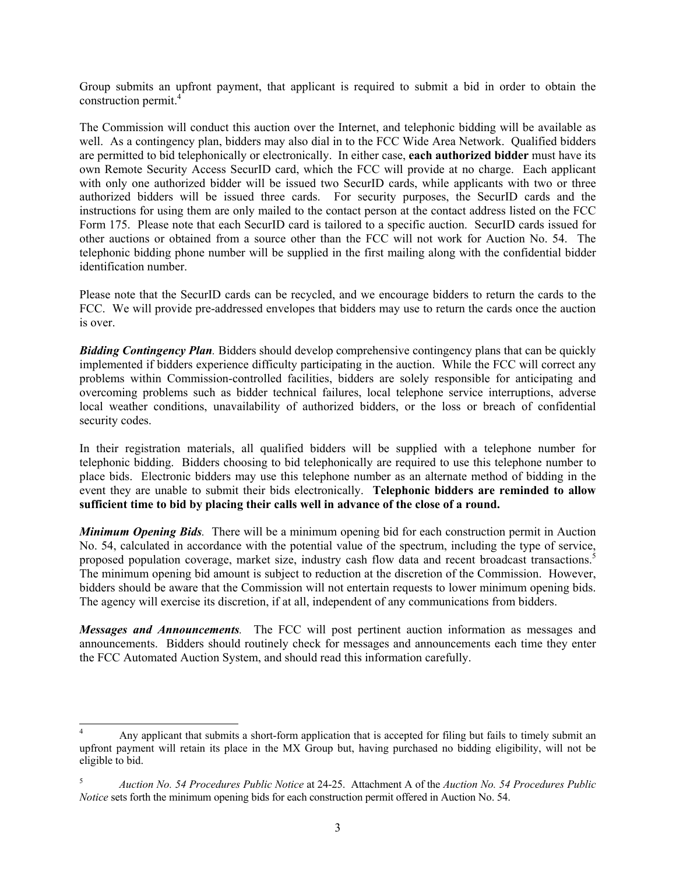Group submits an upfront payment, that applicant is required to submit a bid in order to obtain the construction permit.<sup>4</sup>

The Commission will conduct this auction over the Internet, and telephonic bidding will be available as well. As a contingency plan, bidders may also dial in to the FCC Wide Area Network. Qualified bidders are permitted to bid telephonically or electronically. In either case, **each authorized bidder** must have its own Remote Security Access SecurID card, which the FCC will provide at no charge. Each applicant with only one authorized bidder will be issued two SecurID cards, while applicants with two or three authorized bidders will be issued three cards. For security purposes, the SecurID cards and the instructions for using them are only mailed to the contact person at the contact address listed on the FCC Form 175. Please note that each SecurID card is tailored to a specific auction. SecurID cards issued for other auctions or obtained from a source other than the FCC will not work for Auction No. 54. The telephonic bidding phone number will be supplied in the first mailing along with the confidential bidder identification number.

Please note that the SecurID cards can be recycled, and we encourage bidders to return the cards to the FCC. We will provide pre-addressed envelopes that bidders may use to return the cards once the auction is over.

*Bidding Contingency Plan.* Bidders should develop comprehensive contingency plans that can be quickly implemented if bidders experience difficulty participating in the auction. While the FCC will correct any problems within Commission-controlled facilities, bidders are solely responsible for anticipating and overcoming problems such as bidder technical failures, local telephone service interruptions, adverse local weather conditions, unavailability of authorized bidders, or the loss or breach of confidential security codes.

In their registration materials, all qualified bidders will be supplied with a telephone number for telephonic bidding. Bidders choosing to bid telephonically are required to use this telephone number to place bids. Electronic bidders may use this telephone number as an alternate method of bidding in the event they are unable to submit their bids electronically. **Telephonic bidders are reminded to allow sufficient time to bid by placing their calls well in advance of the close of a round.** 

*Minimum Opening Bids.* There will be a minimum opening bid for each construction permit in Auction No. 54, calculated in accordance with the potential value of the spectrum, including the type of service, proposed population coverage, market size, industry cash flow data and recent broadcast transactions.<sup>5</sup> The minimum opening bid amount is subject to reduction at the discretion of the Commission. However, bidders should be aware that the Commission will not entertain requests to lower minimum opening bids. The agency will exercise its discretion, if at all, independent of any communications from bidders.

*Messages and Announcements.* The FCC will post pertinent auction information as messages and announcements. Bidders should routinely check for messages and announcements each time they enter the FCC Automated Auction System, and should read this information carefully.

 $\overline{a}$ 

<sup>4</sup> Any applicant that submits a short-form application that is accepted for filing but fails to timely submit an upfront payment will retain its place in the MX Group but, having purchased no bidding eligibility, will not be eligible to bid.

<sup>5</sup> *Auction No. 54 Procedures Public Notice* at 24-25. Attachment A of the *Auction No. 54 Procedures Public Notice* sets forth the minimum opening bids for each construction permit offered in Auction No. 54.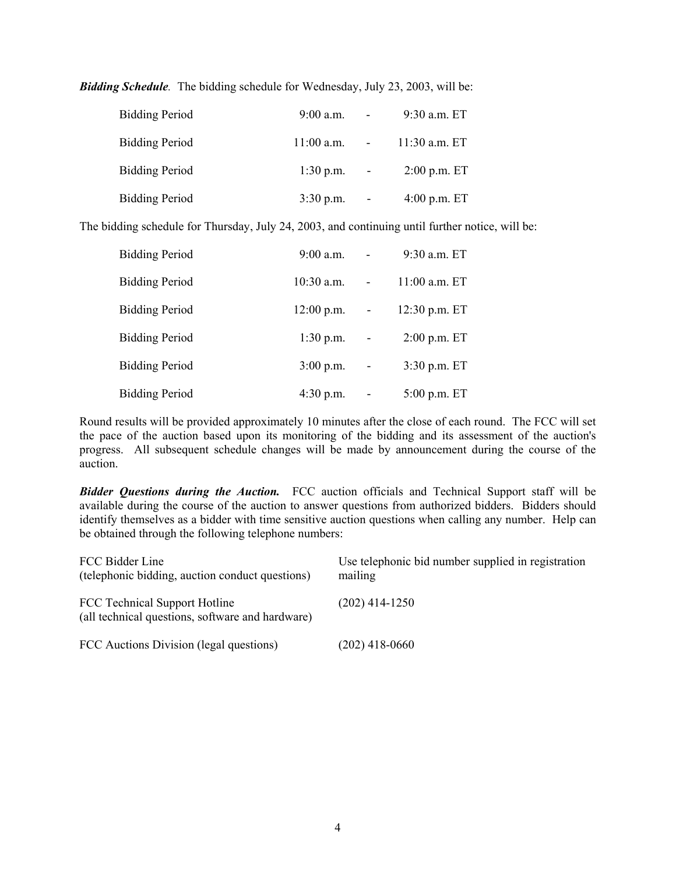| <b>Bidding Period</b> | $9:00$ a.m.             | $\blacksquare$ | 9:30 a.m. ET    |
|-----------------------|-------------------------|----------------|-----------------|
| <b>Bidding Period</b> | $11:00$ a.m. $\qquad -$ |                | $11:30$ a.m. ET |
| <b>Bidding Period</b> | $1:30 \text{ p.m.}$ -   |                | $2:00$ p.m. ET  |
| <b>Bidding Period</b> | $3:30 \text{ p.m.} -$   |                | $4:00$ p.m. ET  |

*Bidding Schedule.* The bidding schedule for Wednesday, July 23, 2003, will be:

The bidding schedule for Thursday, July 24, 2003, and continuing until further notice, will be:

| <b>Bidding Period</b> | $9:00$ a.m.  |                          | 9:30 a.m. ET    |
|-----------------------|--------------|--------------------------|-----------------|
| <b>Bidding Period</b> | $10:30$ a.m. | $\blacksquare$           | $11:00$ a.m. ET |
| <b>Bidding Period</b> | $12:00$ p.m. | $\overline{\phantom{a}}$ | $12:30$ p.m. ET |
| <b>Bidding Period</b> | $1:30$ p.m.  | $\overline{\phantom{a}}$ | $2:00$ p.m. ET  |
| <b>Bidding Period</b> | $3:00$ p.m.  | $\overline{\phantom{a}}$ | $3:30$ p.m. ET  |
| <b>Bidding Period</b> | $4:30$ p.m.  |                          | $5:00$ p.m. ET  |

Round results will be provided approximately 10 minutes after the close of each round. The FCC will set the pace of the auction based upon its monitoring of the bidding and its assessment of the auction's progress. All subsequent schedule changes will be made by announcement during the course of the auction.

*Bidder Questions during the Auction.* FCC auction officials and Technical Support staff will be available during the course of the auction to answer questions from authorized bidders. Bidders should identify themselves as a bidder with time sensitive auction questions when calling any number. Help can be obtained through the following telephone numbers:

| FCC Bidder Line<br>(telephonic bidding, auction conduct questions)                | Use telephonic bid number supplied in registration<br>mailing |
|-----------------------------------------------------------------------------------|---------------------------------------------------------------|
| FCC Technical Support Hotline<br>(all technical questions, software and hardware) | $(202)$ 414-1250                                              |
| FCC Auctions Division (legal questions)                                           | $(202)$ 418-0660                                              |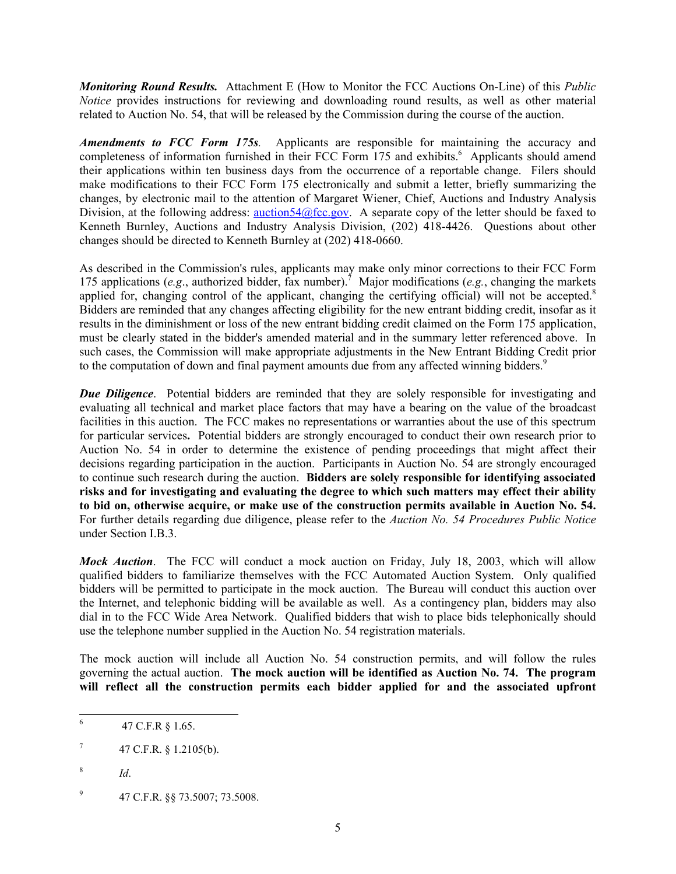*Monitoring Round Results.* Attachment E (How to Monitor the FCC Auctions On-Line) of this *Public Notice* provides instructions for reviewing and downloading round results, as well as other material related to Auction No. 54, that will be released by the Commission during the course of the auction.

*Amendments to FCC Form 175s.* Applicants are responsible for maintaining the accuracy and completeness of information furnished in their FCC Form 175 and exhibits.<sup>6</sup> Applicants should amend their applications within ten business days from the occurrence of a reportable change. Filers should make modifications to their FCC Form 175 electronically and submit a letter, briefly summarizing the changes, by electronic mail to the attention of Margaret Wiener, Chief, Auctions and Industry Analysis Division, at the following address:  $\frac{\text{aution54}}{\text{a}$  fcc.gov. A separate copy of the letter should be faxed to Kenneth Burnley, Auctions and Industry Analysis Division, (202) 418-4426. Questions about other changes should be directed to Kenneth Burnley at (202) 418-0660.

As described in the Commission's rules, applicants may make only minor corrections to their FCC Form 175 applications (*e.g.*, authorized bidder, fax number).<sup>7</sup> Major modifications (*e.g.*, changing the markets applied for, changing control of the applicant, changing the certifying official) will not be accepted.<sup>8</sup> Bidders are reminded that any changes affecting eligibility for the new entrant bidding credit, insofar as it results in the diminishment or loss of the new entrant bidding credit claimed on the Form 175 application, must be clearly stated in the bidder's amended material and in the summary letter referenced above. In such cases, the Commission will make appropriate adjustments in the New Entrant Bidding Credit prior to the computation of down and final payment amounts due from any affected winning bidders.<sup>9</sup>

*Due Diligence*. Potential bidders are reminded that they are solely responsible for investigating and evaluating all technical and market place factors that may have a bearing on the value of the broadcast facilities in this auction. The FCC makes no representations or warranties about the use of this spectrum for particular services**.** Potential bidders are strongly encouraged to conduct their own research prior to Auction No. 54 in order to determine the existence of pending proceedings that might affect their decisions regarding participation in the auction. Participants in Auction No. 54 are strongly encouraged to continue such research during the auction. **Bidders are solely responsible for identifying associated risks and for investigating and evaluating the degree to which such matters may effect their ability to bid on, otherwise acquire, or make use of the construction permits available in Auction No. 54.**  For further details regarding due diligence, please refer to the *Auction No. 54 Procedures Public Notice* under Section I.B.3.

*Mock Auction*. The FCC will conduct a mock auction on Friday, July 18, 2003, which will allow qualified bidders to familiarize themselves with the FCC Automated Auction System. Only qualified bidders will be permitted to participate in the mock auction. The Bureau will conduct this auction over the Internet, and telephonic bidding will be available as well. As a contingency plan, bidders may also dial in to the FCC Wide Area Network. Qualified bidders that wish to place bids telephonically should use the telephone number supplied in the Auction No. 54 registration materials.

The mock auction will include all Auction No. 54 construction permits, and will follow the rules governing the actual auction. **The mock auction will be identified as Auction No. 74. The program will reflect all the construction permits each bidder applied for and the associated upfront** 

8  *Id*.

 6 47 C.F.R § 1.65.

<sup>7</sup> 47 C.F.R. § 1.2105(b).

<sup>9</sup> 47 C.F.R. §§ 73.5007; 73.5008.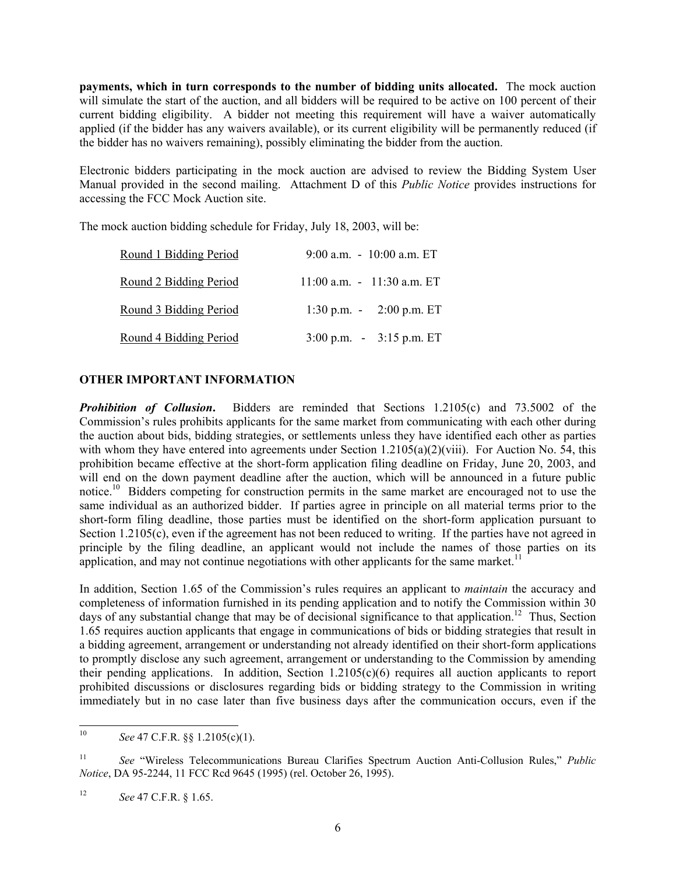**payments, which in turn corresponds to the number of bidding units allocated.** The mock auction will simulate the start of the auction, and all bidders will be required to be active on 100 percent of their current bidding eligibility. A bidder not meeting this requirement will have a waiver automatically applied (if the bidder has any waivers available), or its current eligibility will be permanently reduced (if the bidder has no waivers remaining), possibly eliminating the bidder from the auction.

Electronic bidders participating in the mock auction are advised to review the Bidding System User Manual provided in the second mailing. Attachment D of this *Public Notice* provides instructions for accessing the FCC Mock Auction site.

The mock auction bidding schedule for Friday, July 18, 2003, will be:

| Round 1 Bidding Period | 9:00 a.m. $-10:00$ a.m. ET                          |
|------------------------|-----------------------------------------------------|
| Round 2 Bidding Period | $11:00$ a.m. $-11:30$ a.m. ET                       |
| Round 3 Bidding Period | 1:30 p.m. - $2:00$ p.m. ET                          |
| Round 4 Bidding Period | $3:00 \text{ p.m.} - 3:15 \text{ p.m.} \text{ ET }$ |

## **OTHER IMPORTANT INFORMATION**

*Prohibition of Collusion.* Bidders are reminded that Sections 1.2105(c) and 73.5002 of the Commission's rules prohibits applicants for the same market from communicating with each other during the auction about bids, bidding strategies, or settlements unless they have identified each other as parties with whom they have entered into agreements under Section 1.2105(a)(2)(viii). For Auction No. 54, this prohibition became effective at the short-form application filing deadline on Friday, June 20, 2003, and will end on the down payment deadline after the auction, which will be announced in a future public notice.<sup>10</sup> Bidders competing for construction permits in the same market are encouraged not to use the same individual as an authorized bidder. If parties agree in principle on all material terms prior to the short-form filing deadline, those parties must be identified on the short-form application pursuant to Section 1.2105(c), even if the agreement has not been reduced to writing. If the parties have not agreed in principle by the filing deadline, an applicant would not include the names of those parties on its application, and may not continue negotiations with other applicants for the same market.<sup>11</sup>

In addition, Section 1.65 of the Commission's rules requires an applicant to *maintain* the accuracy and completeness of information furnished in its pending application and to notify the Commission within 30 days of any substantial change that may be of decisional significance to that application.<sup>12</sup> Thus, Section 1.65 requires auction applicants that engage in communications of bids or bidding strategies that result in a bidding agreement, arrangement or understanding not already identified on their short-form applications to promptly disclose any such agreement, arrangement or understanding to the Commission by amending their pending applications. In addition, Section 1.2105(c)(6) requires all auction applicants to report prohibited discussions or disclosures regarding bids or bidding strategy to the Commission in writing immediately but in no case later than five business days after the communication occurs, even if the

 $10\,$ 10 *See* 47 C.F.R. §§ 1.2105(c)(1).

<sup>11</sup> *See* "Wireless Telecommunications Bureau Clarifies Spectrum Auction Anti-Collusion Rules," *Public Notice*, DA 95-2244, 11 FCC Rcd 9645 (1995) (rel. October 26, 1995).

<sup>12</sup> *See* 47 C.F.R. § 1.65.